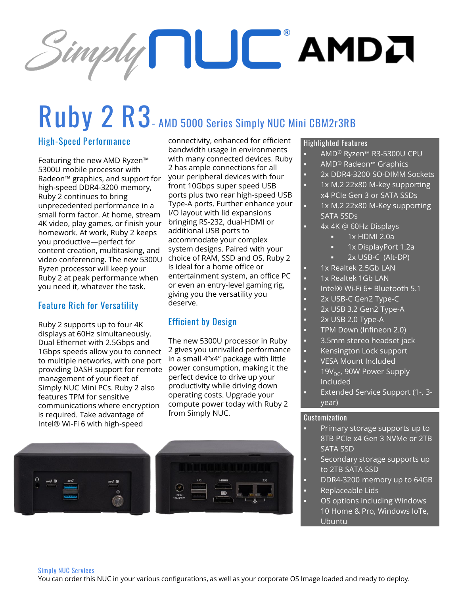# $S$ imply  $\prod\bigcup\bigcup$  AMDJ

## **Ruby 2 R3- AMD 5000 Series Simply NUC Mini CBM2r3RB**

#### **High-Speed Performance**

Featuring the new AMD Ryzen™ 5300U mobile processor with Radeon™ graphics, and support for high-speed DDR4-3200 memory, Ruby 2 continues to bring unprecedented performance in a small form factor. At home, stream 4K video, play games, or finish your homework. At work, Ruby 2 keeps you productive—perfect for content creation, multitasking, and video conferencing. The new 5300U Ryzen processor will keep your Ruby 2 at peak performance when you need it, whatever the task.

#### **Feature Rich for Versatility**

Ruby 2 supports up to four 4K displays at 60Hz simultaneously. Dual Ethernet with 2.5Gbps and 1Gbps speeds allow you to connect to multiple networks, with one port providing DASH support for remote power consumption, making it the management of your fleet of Simply NUC Mini PCs. Ruby 2 also features TPM for sensitive communications where encryption is required. Take advantage of Intel® Wi-Fi 6 with high-speed

connectivity, enhanced for efficient bandwidth usage in environments with many connected devices. Ruby 2 has ample connections for all your peripheral devices with four front 10Gbps super speed USB ports plus two rear high-speed USB Type-A ports. Further enhance your I/O layout with lid expansions bringing RS-232, dual-HDMI or additional USB ports to accommodate your complex system designs. Paired with your choice of RAM, SSD and OS, Ruby 2 is ideal for a home office or entertainment system, an office PC or even an entry-level gaming rig, giving you the versatility you deserve.

#### **Efficient by Design**

The new 5300U processor in Ruby 2 gives you unrivalled performance in a small 4"x4" package with little perfect device to drive up your productivity while driving down operating costs. Upgrade your compute power today with Ruby 2 from Simply NUC.



#### **Highlighted Features**

- AMD® Ryzen™ R3-5300U CPU
- AMD<sup>®</sup> Radeon™ Graphics
- 2x DDR4-3200 SO-DIMM Sockets
- 1x M.2 22x80 M-key supporting x4 PCIe Gen 3 or SATA SSDs
- 1x M.2 22x80 M-Key supporting SATA SSDs
- 4x 4K @ 60Hz Displays
	- $1x$  HDMI 2.0a
	- 1x DisplayPort 1.2a
	- 2x USB-C (Alt-DP)
- 1x Realtek 2.5Gb LAN
- 1x Realtek 1Gb LAN
- Intel® Wi-Fi 6+ Bluetooth 5.1
- 2x USB-C Gen2 Type-C
- 2x USB 3.2 Gen2 Type-A
- 2x USB 2.0 Type-A
- TPM Down (Infineon 2.0)
- 3.5mm stereo headset jack
- Kensington Lock support
- VESA Mount Included
- 19V<sub>DC</sub>, 90W Power Supply Included
- Extended Service Support (1-, 3year)

#### **Customization**

- Primary storage supports up to 8TB PCIe x4 Gen 3 NVMe or 2TB SATA SSD
- Secondary storage supports up to 2TB SATA SSD
- DDR4-3200 memory up to 64GB Replaceable Lids
- OS options including Windows 10 Home & Pro, Windows IoTe, Ubuntu

#### **Simply NUC Services**

You can order this NUC in your various configurations, as well as your corporate OS Image loaded and ready to deploy.